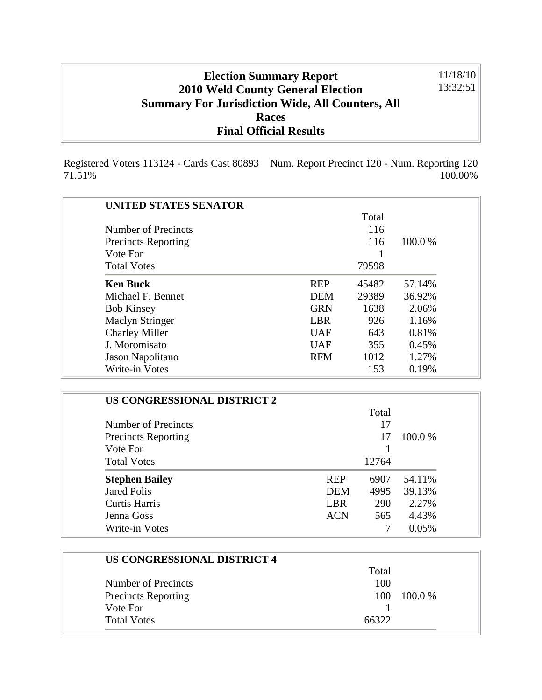## **Election Summary Report 2010 Weld County General Election Summary For Jurisdiction Wide, All Counters, All Races Final Official Results** 11/18/10 13:32:51

Registered Voters 113124 - Cards Cast 80893 Num. Report Precinct 120 - Num. Reporting 120 71.51% 100.00%

| UNITED STATES SENATOR      |            |       |        |
|----------------------------|------------|-------|--------|
|                            |            | Total |        |
| Number of Precincts        |            | 116   |        |
| <b>Precincts Reporting</b> |            | 116   | 100.0% |
| Vote For                   |            |       |        |
| <b>Total Votes</b>         |            | 79598 |        |
| <b>Ken Buck</b>            | <b>REP</b> | 45482 | 57.14% |
| Michael F. Bennet          | <b>DEM</b> | 29389 | 36.92% |
| <b>Bob Kinsey</b>          | <b>GRN</b> | 1638  | 2.06%  |
| <b>Maclyn Stringer</b>     | <b>LBR</b> | 926   | 1.16%  |
| <b>Charley Miller</b>      | <b>UAF</b> | 643   | 0.81%  |
| J. Moromisato              | <b>UAF</b> | 355   | 0.45%  |
| Jason Napolitano           | <b>RFM</b> | 1012  | 1.27%  |
| <b>Write-in Votes</b>      |            | 153   | 0.19%  |

| <b>US CONGRESSIONAL DISTRICT 2</b> |            |       |         |
|------------------------------------|------------|-------|---------|
|                                    |            | Total |         |
| Number of Precincts                |            | 17    |         |
| <b>Precincts Reporting</b>         |            | 17    | 100.0 % |
| Vote For                           |            |       |         |
| <b>Total Votes</b>                 |            | 12764 |         |
| <b>Stephen Bailey</b>              | <b>REP</b> | 6907  | 54.11%  |
| <b>Jared Polis</b>                 | <b>DEM</b> | 4995  | 39.13%  |
| <b>Curtis Harris</b>               | <b>LBR</b> | 290   | 2.27%   |
| Jenna Goss                         | <b>ACN</b> | 565   | 4.43%   |
| Write-in Votes                     |            |       | 0.05%   |

| US CONGRESSIONAL DISTRICT 4 |       |         |
|-----------------------------|-------|---------|
|                             | Total |         |
| Number of Precincts         | 100   |         |
| <b>Precincts Reporting</b>  | 100   | 100.0 % |
| Vote For                    |       |         |
| <b>Total Votes</b>          | 66322 |         |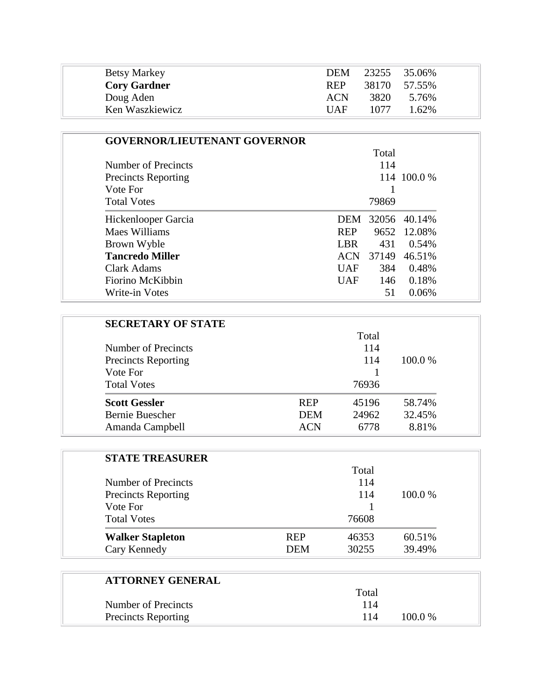| <b>Betsy Markey</b> | <b>DEM</b> |      | 23255 35.06% |  |
|---------------------|------------|------|--------------|--|
| <b>Cory Gardner</b> | <b>REP</b> |      | 38170 57.55% |  |
| Doug Aden           | <b>ACN</b> | 3820 | 5.76%        |  |
| Ken Waszkiewicz     | UAF        | 1077 | 1.62%        |  |

| <b>GOVERNOR/LIEUTENANT GOVERNOR</b> |            |       |              |
|-------------------------------------|------------|-------|--------------|
|                                     |            | Total |              |
| Number of Precincts                 |            | 114   |              |
| <b>Precincts Reporting</b>          |            |       | 114 100.0 %  |
| Vote For                            |            |       |              |
| <b>Total Votes</b>                  |            | 79869 |              |
| Hickenlooper Garcia                 | <b>DEM</b> |       | 32056 40.14% |
| Maes Williams                       | <b>REP</b> |       | 9652 12.08%  |
| Brown Wyble                         | <b>LBR</b> | 431   | 0.54%        |
| <b>Tancredo Miller</b>              | <b>ACN</b> | 37149 | 46.51%       |
| Clark Adams                         | <b>UAF</b> | 384   | 0.48%        |
| Fiorino McKibbin                    | UAF        | 146   | 0.18%        |
| Write-in Votes                      |            | 51    | 0.06%        |
|                                     |            |       |              |

| <b>SECRETARY OF STATE</b>  |            |       |         |
|----------------------------|------------|-------|---------|
|                            |            | Total |         |
| Number of Precincts        |            | 114   |         |
| <b>Precincts Reporting</b> |            | 114   | 100.0 % |
| Vote For                   |            |       |         |
| <b>Total Votes</b>         |            | 76936 |         |
| <b>Scott Gessler</b>       | <b>REP</b> | 45196 | 58.74%  |
| <b>Bernie Buescher</b>     | <b>DEM</b> | 24962 | 32.45%  |
| Amanda Campbell            | <b>ACN</b> | 6778  | 8.81%   |

| <b>STATE TREASURER</b>     |            |       |         |
|----------------------------|------------|-------|---------|
|                            |            | Total |         |
| Number of Precincts        |            | 114   |         |
| <b>Precincts Reporting</b> |            | 114   | 100.0 % |
| Vote For                   |            |       |         |
| <b>Total Votes</b>         |            | 76608 |         |
| <b>Walker Stapleton</b>    | <b>REP</b> | 46353 | 60.51%  |
| Cary Kennedy               | <b>DEM</b> | 30255 | 39.49%  |

| <b>ATTORNEY GENERAL</b>    |       |           |
|----------------------------|-------|-----------|
|                            | Total |           |
| Number of Precincts        | 114   |           |
| <b>Precincts Reporting</b> | 114   | $100.0\%$ |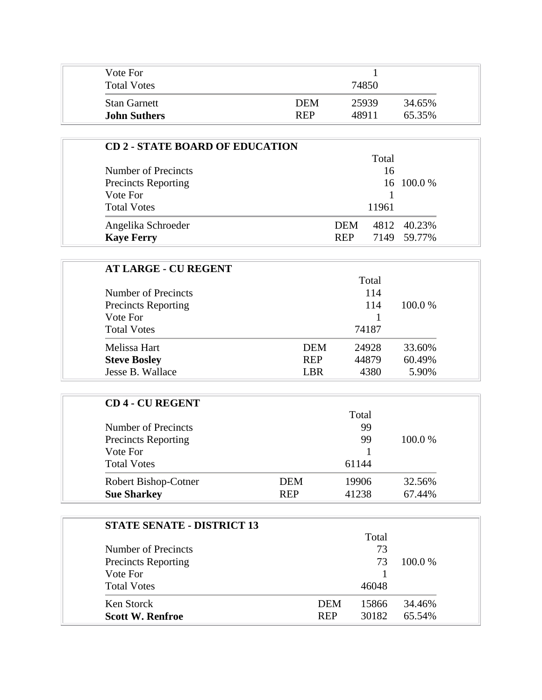| Vote For<br><b>Total Votes</b> |            | 74850 |        |
|--------------------------------|------------|-------|--------|
| <b>Stan Garnett</b>            | <b>DEM</b> | 25939 | 34.65% |
| <b>John Suthers</b>            | <b>REP</b> | 48911 | 65.35% |

| <b>CD 2 - STATE BOARD OF EDUCATION</b> |            |       |             |
|----------------------------------------|------------|-------|-------------|
|                                        |            | Total |             |
| Number of Precincts                    |            | 16    |             |
| <b>Precincts Reporting</b>             |            |       | 16 100.0 %  |
| Vote For                               |            |       |             |
| <b>Total Votes</b>                     |            | 11961 |             |
| Angelika Schroeder                     | <b>DEM</b> |       | 4812 40.23% |
| <b>Kaye Ferry</b>                      | <b>REP</b> |       | 7149 59.77% |

| <b>AT LARGE - CU REGENT</b> |            |       |         |
|-----------------------------|------------|-------|---------|
|                             |            | Total |         |
| Number of Precincts         |            | 114   |         |
| <b>Precincts Reporting</b>  |            | 114   | 100.0 % |
| Vote For                    |            |       |         |
| <b>Total Votes</b>          |            | 74187 |         |
| Melissa Hart                | <b>DEM</b> | 24928 | 33.60%  |
| <b>Steve Bosley</b>         | <b>REP</b> | 44879 | 60.49%  |
| Jesse B. Wallace            | <b>LBR</b> | 4380  | 5.90%   |

| <b>CD4 - CU REGENT</b>     |            |       |         |
|----------------------------|------------|-------|---------|
|                            |            | Total |         |
| Number of Precincts        |            | 99    |         |
| <b>Precincts Reporting</b> |            | 99    | 100.0 % |
| Vote For                   |            |       |         |
| <b>Total Votes</b>         |            | 61144 |         |
| Robert Bishop-Cotner       | <b>DEM</b> | 19906 | 32.56%  |
| <b>Sue Sharkey</b>         | <b>REP</b> | 41238 | 67.44%  |

| <b>STATE SENATE - DISTRICT 13</b> |            |       |         |
|-----------------------------------|------------|-------|---------|
|                                   |            | Total |         |
| Number of Precincts               |            | 73    |         |
| <b>Precincts Reporting</b>        |            | 73    | 100.0 % |
| Vote For                          |            |       |         |
| <b>Total Votes</b>                |            | 46048 |         |
| Ken Storck                        | <b>DEM</b> | 15866 | 34.46%  |
| <b>Scott W. Renfroe</b>           | <b>REP</b> | 30182 | 65.54%  |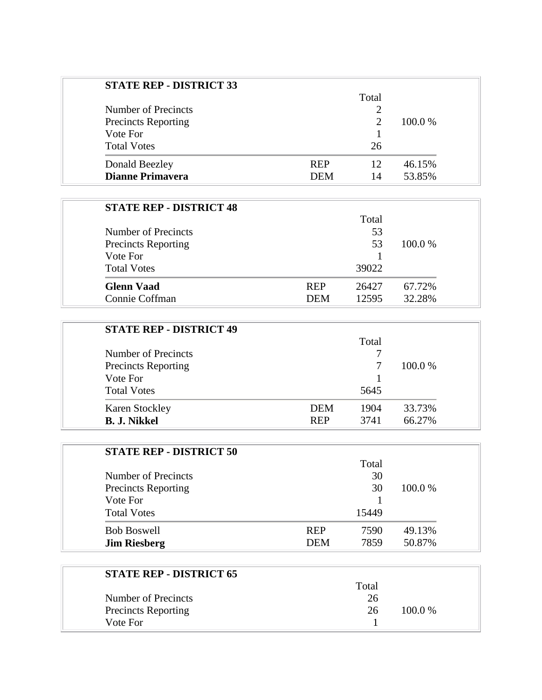| <b>STATE REP - DISTRICT 33</b> |            |       |         |
|--------------------------------|------------|-------|---------|
|                                |            | Total |         |
| Number of Precincts            |            |       |         |
| <b>Precincts Reporting</b>     |            |       | 100.0 % |
| Vote For                       |            |       |         |
| <b>Total Votes</b>             |            | 26    |         |
| Donald Beezley                 | <b>REP</b> | 12    | 46.15%  |
| <b>Dianne Primavera</b>        | <b>DEM</b> | 14    | 53.85%  |

| <b>STATE REP - DISTRICT 48</b> |            |       |         |
|--------------------------------|------------|-------|---------|
|                                |            | Total |         |
| Number of Precincts            |            | 53    |         |
| <b>Precincts Reporting</b>     |            | 53    | 100.0 % |
| Vote For                       |            |       |         |
| <b>Total Votes</b>             |            | 39022 |         |
| <b>Glenn Vaad</b>              | <b>REP</b> | 26427 | 67.72%  |
| Connie Coffman                 | <b>DEM</b> | 12595 | 32.28%  |

| <b>STATE REP - DISTRICT 49</b> |            |       |         |
|--------------------------------|------------|-------|---------|
|                                |            | Total |         |
| Number of Precincts            |            |       |         |
| <b>Precincts Reporting</b>     |            |       | 100.0 % |
| Vote For                       |            |       |         |
| <b>Total Votes</b>             |            | 5645  |         |
| Karen Stockley                 | <b>DEM</b> | 1904  | 33.73%  |
| <b>B. J. Nikkel</b>            | <b>REP</b> | 3741  | 66.27%  |

| <b>STATE REP - DISTRICT 50</b> |            |       |         |
|--------------------------------|------------|-------|---------|
|                                |            | Total |         |
| Number of Precincts            |            | 30    |         |
| <b>Precincts Reporting</b>     |            | 30    | 100.0 % |
| Vote For                       |            |       |         |
| <b>Total Votes</b>             |            | 15449 |         |
| <b>Bob Boswell</b>             | <b>REP</b> | 7590  | 49.13%  |
| <b>Jim Riesberg</b>            | <b>DEM</b> | 7859  | 50.87%  |

| <b>STATE REP - DISTRICT 65</b> |       |           |
|--------------------------------|-------|-----------|
|                                | Total |           |
| Number of Precincts            | 26    |           |
| <b>Precincts Reporting</b>     | 26    | $100.0\%$ |
| Vote For                       |       |           |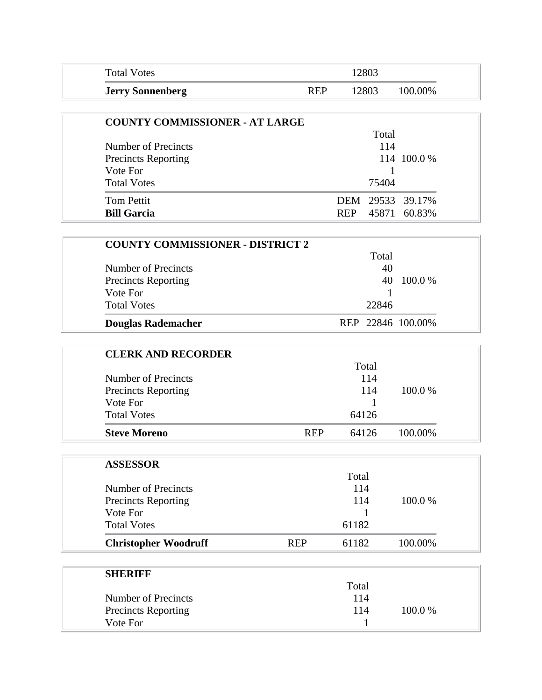| <b>Total Votes</b>      |            | 280 <sup>-</sup> |         |
|-------------------------|------------|------------------|---------|
| <b>Jerry Sonnenberg</b> | <b>REP</b> | 2803             | 100.00% |

| <b>COUNTY COMMISSIONER - AT LARGE</b> |                               |
|---------------------------------------|-------------------------------|
|                                       | Total                         |
| Number of Precincts                   | 114                           |
| <b>Precincts Reporting</b>            | 114 100.0 %                   |
| Vote For                              |                               |
| <b>Total Votes</b>                    | 75404                         |
| <b>Tom Pettit</b>                     | DEM 29533 39.17%              |
| <b>Bill Garcia</b>                    | 60.83%<br>45871<br><b>REP</b> |

| <b>COUNTY COMMISSIONER - DISTRICT 2</b> |                   |            |
|-----------------------------------------|-------------------|------------|
|                                         | Total             |            |
| Number of Precincts                     | 40                |            |
| <b>Precincts Reporting</b>              |                   | 40 100.0 % |
| Vote For                                |                   |            |
| <b>Total Votes</b>                      | 22846             |            |
| <b>Douglas Rademacher</b>               | REP 22846 100.00% |            |

| <b>CLERK AND RECORDER</b>  |                     |                |
|----------------------------|---------------------|----------------|
|                            | Total               |                |
| Number of Precincts        |                     | 114            |
| <b>Precincts Reporting</b> |                     | 100.0 %<br>114 |
| Vote For                   |                     |                |
| <b>Total Votes</b>         | 64126               |                |
| <b>Steve Moreno</b>        | <b>REP</b><br>64126 | 100.00%        |

| <b>Christopher Woodruff</b> | <b>REP</b> | 61182 | 100.00% |
|-----------------------------|------------|-------|---------|
| <b>Total Votes</b>          |            | 61182 |         |
| Vote For                    |            |       |         |
| <b>Precincts Reporting</b>  |            | 114   | 100.0 % |
| Number of Precincts         |            | 114   |         |
|                             |            | Total |         |
| <b>ASSESSOR</b>             |            |       |         |

| <b>SHERIFF</b>             |       |         |
|----------------------------|-------|---------|
|                            | Total |         |
| Number of Precincts        | 114   |         |
| <b>Precincts Reporting</b> | 114   | 100.0 % |
| Vote For                   |       |         |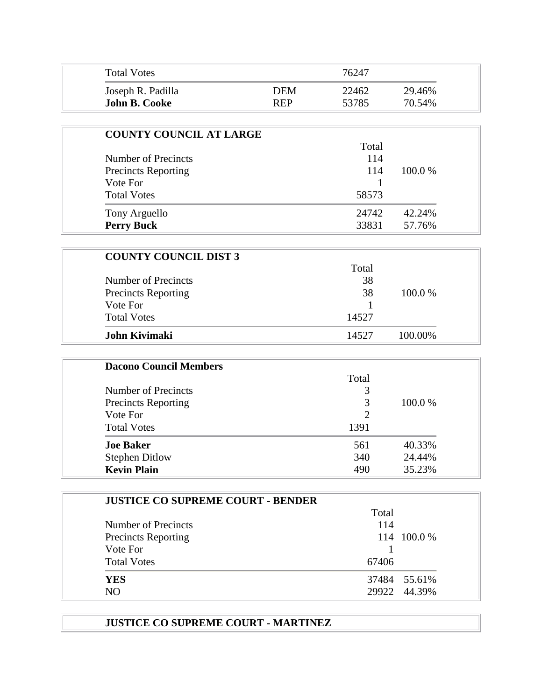| <b>Total Votes</b>   |            | 76247 |        |
|----------------------|------------|-------|--------|
| Joseph R. Padilla    | <b>DEM</b> | 22462 | 29.46% |
| <b>John B. Cooke</b> | <b>REP</b> | 53785 | 70.54% |

| <b>COUNTY COUNCIL AT LARGE</b> |       |        |
|--------------------------------|-------|--------|
|                                | Total |        |
| Number of Precincts            | 114   |        |
| <b>Precincts Reporting</b>     | 114   | 100.0% |
| Vote For                       |       |        |
| <b>Total Votes</b>             | 58573 |        |
| Tony Arguello                  | 24742 | 42.24% |
| <b>Perry Buck</b>              | 33831 | 57.76% |

| <b>COUNTY COUNCIL DIST 3</b> |       |         |
|------------------------------|-------|---------|
|                              | Total |         |
| Number of Precincts          | 38    |         |
| <b>Precincts Reporting</b>   | 38    | 100.0%  |
| Vote For                     |       |         |
| <b>Total Votes</b>           | 14527 |         |
| <b>John Kivimaki</b>         | 14527 | 100.00% |

| <b>Dacono Council Members</b> |       |         |
|-------------------------------|-------|---------|
|                               | Total |         |
| Number of Precincts           | 3     |         |
| <b>Precincts Reporting</b>    | 3     | 100.0 % |
| Vote For                      | 2     |         |
| <b>Total Votes</b>            | 1391  |         |
| <b>Joe Baker</b>              | 561   | 40.33%  |
| <b>Stephen Ditlow</b>         | 340   | 24.44%  |
| <b>Kevin Plain</b>            | 490   | 35.23%  |

| <b>JUSTICE CO SUPREME COURT - BENDER</b> |       |              |  |
|------------------------------------------|-------|--------------|--|
|                                          | Total |              |  |
| Number of Precincts                      | 114   |              |  |
| <b>Precincts Reporting</b>               |       | 114 100.0 %  |  |
| Vote For                                 |       |              |  |
| <b>Total Votes</b>                       | 67406 |              |  |
| <b>YES</b>                               |       | 37484 55.61% |  |
| N <sub>O</sub>                           |       | 29922 44.39% |  |

## **JUSTICE CO SUPREME COURT - MARTINEZ**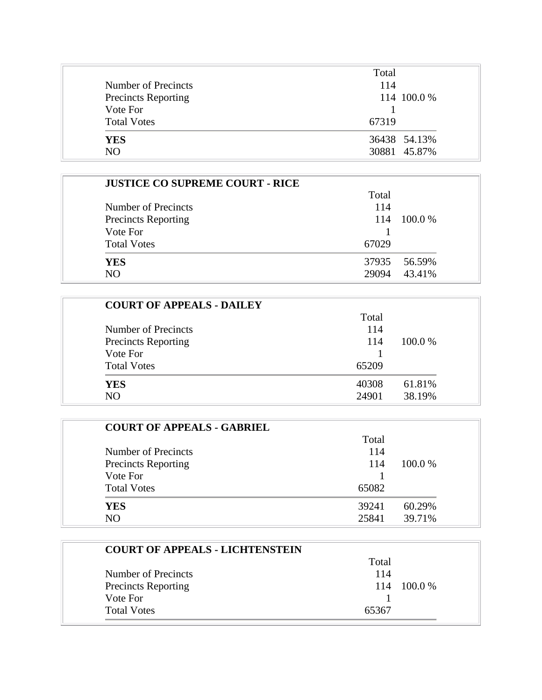|                            | Total        |
|----------------------------|--------------|
| Number of Precincts        | 114          |
| <b>Precincts Reporting</b> | 114 100.0 %  |
| Vote For                   |              |
| <b>Total Votes</b>         | 67319        |
| <b>YES</b>                 | 36438 54.13% |
| N <sub>O</sub>             | 30881 45.87% |

| <b>JUSTICE CO SUPREME COURT - RICE</b> |       |           |  |
|----------------------------------------|-------|-----------|--|
|                                        | Total |           |  |
| Number of Precincts                    | 114   |           |  |
| <b>Precincts Reporting</b>             | 114   | $100.0\%$ |  |
| Vote For                               |       |           |  |
| <b>Total Votes</b>                     | 67029 |           |  |
| YES                                    | 37935 | 56.59%    |  |
| N <sub>O</sub>                         | 29094 | 43.41%    |  |

| <b>COURT OF APPEALS - DAILEY</b> |       |         |
|----------------------------------|-------|---------|
|                                  | Total |         |
| Number of Precincts              | 114   |         |
| <b>Precincts Reporting</b>       | 114   | 100.0 % |
| Vote For                         |       |         |
| <b>Total Votes</b>               | 65209 |         |
| YES                              | 40308 | 61.81%  |
| N <sub>O</sub>                   | 24901 | 38.19%  |

| <b>COURT OF APPEALS - GABRIEL</b> |       |        |
|-----------------------------------|-------|--------|
| Number of Precincts               | Total |        |
|                                   | 114   |        |
| <b>Precincts Reporting</b>        | 114   | 100.0% |
| Vote For                          |       |        |
| <b>Total Votes</b>                | 65082 |        |
| <b>YES</b>                        | 39241 | 60.29% |
| N <sub>O</sub>                    | 25841 | 39.71% |

| <b>COURT OF APPEALS - LICHTENSTEIN</b> |       |           |
|----------------------------------------|-------|-----------|
|                                        | Total |           |
| Number of Precincts                    | 114   |           |
| <b>Precincts Reporting</b>             | 114   | $100.0\%$ |
| Vote For                               |       |           |
| <b>Total Votes</b>                     | 65367 |           |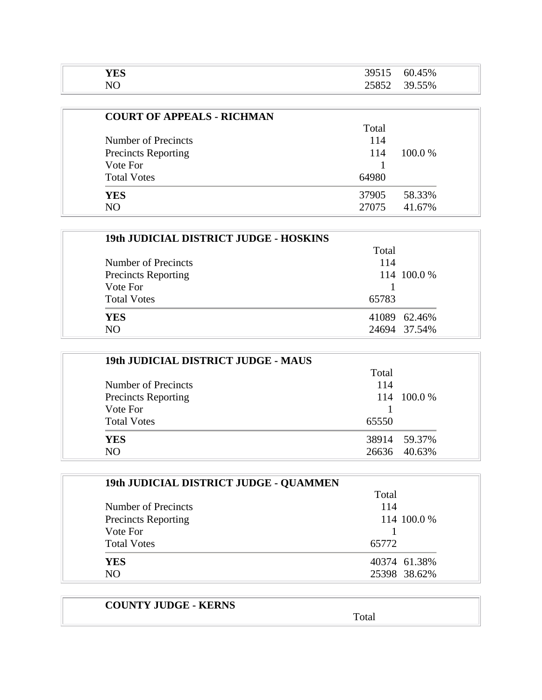| 37BC<br>درت         | $20717$<br>395 L<br><i>.,,,</i> ,, | .45%<br>hl |
|---------------------|------------------------------------|------------|
| N <sup>C</sup><br>╰ | 15857                              | .55%<br>≺u |

| <b>COURT OF APPEALS - RICHMAN</b> |              |        |
|-----------------------------------|--------------|--------|
| Number of Precincts               | Total<br>114 |        |
|                                   |              |        |
| Vote For                          |              |        |
| <b>Total Votes</b>                | 64980        |        |
| YES                               | 37905        | 58.33% |
| NΩ                                | 27075        | 41.67% |

| <b>19th JUDICIAL DISTRICT JUDGE - HOSKINS</b> |              |
|-----------------------------------------------|--------------|
|                                               | Total        |
| Number of Precincts                           | 114          |
| <b>Precincts Reporting</b>                    | 114 100.0 %  |
| Vote For                                      |              |
| <b>Total Votes</b>                            | 65783        |
| YES                                           | 41089 62.46% |
| NO.                                           | 24694 37.54% |

| <b>19th JUDICIAL DISTRICT JUDGE - MAUS</b> |       |             |  |
|--------------------------------------------|-------|-------------|--|
|                                            | Total |             |  |
| Number of Precincts                        | 114   |             |  |
| <b>Precincts Reporting</b>                 |       | 114 100.0 % |  |
| Vote For                                   |       |             |  |
| <b>Total Votes</b>                         | 65550 |             |  |
| <b>YES</b>                                 | 38914 | 59.37%      |  |
| NO                                         | 26636 | 40.63%      |  |

| 19th JUDICIAL DISTRICT JUDGE - QUAMMEN |              |  |
|----------------------------------------|--------------|--|
|                                        | Total        |  |
| Number of Precincts                    | 114          |  |
| <b>Precincts Reporting</b>             | 114 100.0 %  |  |
| Vote For                               |              |  |
| <b>Total Votes</b>                     | 65772        |  |
| YES                                    | 40374 61.38% |  |
| N <sub>O</sub>                         | 25398 38.62% |  |

| <b>COUNTY JUDGE - KERNS</b> |       |
|-----------------------------|-------|
|                             | Total |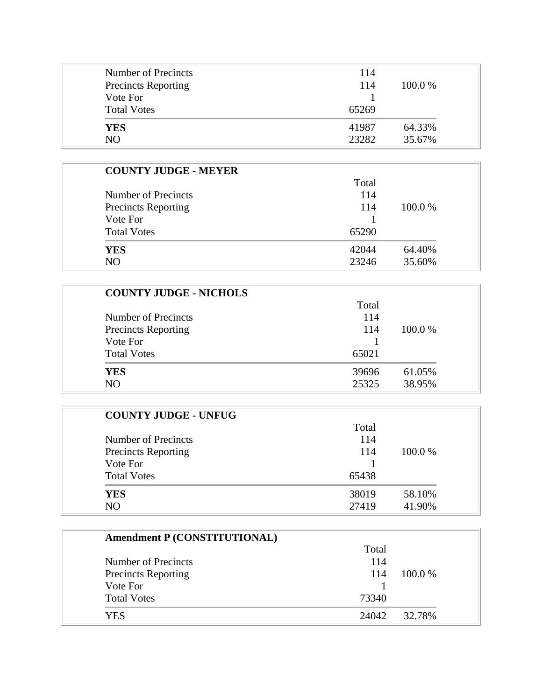| Number of Precincts        | 114   |         |
|----------------------------|-------|---------|
| <b>Precincts Reporting</b> | 114   | 100.0 % |
| Vote For                   |       |         |
| <b>Total Votes</b>         | 65269 |         |
| <b>YES</b>                 | 41987 | 64.33%  |
| NO                         | 23282 | 35.67%  |

| <b>COUNTY JUDGE - MEYER</b> |       |         |
|-----------------------------|-------|---------|
|                             | Total |         |
| Number of Precincts         | 114   |         |
| <b>Precincts Reporting</b>  | 114   | 100.0 % |
| Vote For                    |       |         |
| <b>Total Votes</b>          | 65290 |         |
| <b>YES</b>                  | 42044 | 64.40%  |
| NΩ                          | 23246 | 35.60%  |

| <b>COUNTY JUDGE - NICHOLS</b> |       |         |
|-------------------------------|-------|---------|
|                               | Total |         |
| Number of Precincts           | 114   |         |
| <b>Precincts Reporting</b>    | 114   | 100.0 % |
| Vote For                      |       |         |
| <b>Total Votes</b>            | 65021 |         |
| YES                           | 39696 | 61.05%  |
| NO.                           | 25325 | 38.95%  |

| <b>COUNTY JUDGE - UNFUG</b> |       |         |
|-----------------------------|-------|---------|
|                             | Total |         |
| Number of Precincts         | 114   |         |
| <b>Precincts Reporting</b>  | 114   | 100.0 % |
| Vote For                    |       |         |
| <b>Total Votes</b>          | 65438 |         |
| <b>YES</b>                  | 38019 | 58.10%  |
| NO.                         | 27419 | 41.90%  |

| Amendment P (CONSTITUTIONAL) |       |         |
|------------------------------|-------|---------|
|                              | Total |         |
| Number of Precincts          | 114   |         |
| <b>Precincts Reporting</b>   | 114   | 100.0 % |
| Vote For                     |       |         |
| <b>Total Votes</b>           | 73340 |         |
| YES                          | 24042 | 32.78%  |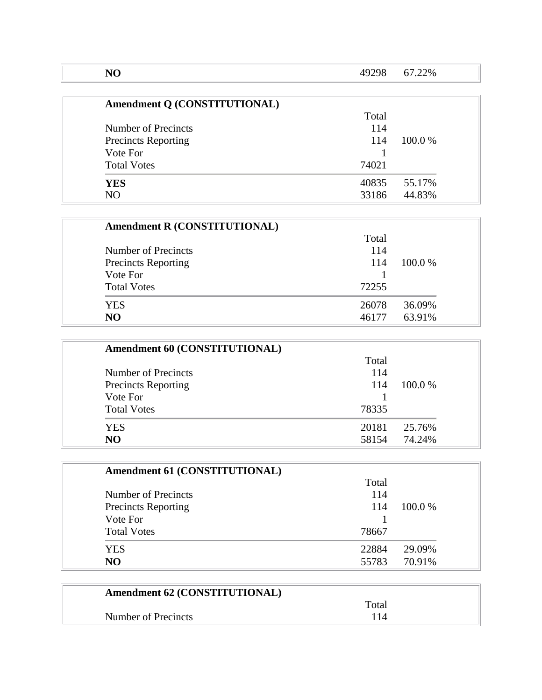| $-1$<br>w | . . | $V_{\text{c}}$<br>. 70 L |  |
|-----------|-----|--------------------------|--|
|           |     |                          |  |

| Amendment Q (CONSTITUTIONAL) |       |         |
|------------------------------|-------|---------|
|                              | Total |         |
| Number of Precincts          | 114   |         |
| <b>Precincts Reporting</b>   | 114   | 100.0 % |
| Vote For                     |       |         |
| <b>Total Votes</b>           | 74021 |         |
| <b>YES</b>                   | 40835 | 55.17%  |
| NO.                          | 33186 | 44.83%  |

| Amendment R (CONSTITUTIONAL) |       |         |
|------------------------------|-------|---------|
|                              | Total |         |
| Number of Precincts          | 114   |         |
| <b>Precincts Reporting</b>   | 114   | 100.0 % |
| Vote For                     |       |         |
| <b>Total Votes</b>           | 72255 |         |
| YES.                         | 26078 | 36.09%  |
| NO.                          | 46177 | 63.91%  |

| Amendment 60 (CONSTITUTIONAL) |       |        |
|-------------------------------|-------|--------|
|                               | Total |        |
| Number of Precincts           | 114   |        |
| <b>Precincts Reporting</b>    | 114   | 100.0% |
| Vote For                      |       |        |
| <b>Total Votes</b>            | 78335 |        |
| <b>YES</b>                    | 20181 | 25.76% |
| N <sub>O</sub>                | 58154 | 74.24% |

| <b>Amendment 61 (CONSTITUTIONAL)</b> |       |         |
|--------------------------------------|-------|---------|
|                                      | Total |         |
| Number of Precincts                  | 114   |         |
| <b>Precincts Reporting</b>           | 114   | 100.0 % |
| Vote For                             |       |         |
| <b>Total Votes</b>                   | 78667 |         |
| YES                                  | 22884 | 29.09%  |
| N <sub>O</sub>                       | 55783 | 70.91%  |

| Amendment 62 (CONSTITUTIONAL) |       |
|-------------------------------|-------|
|                               | Total |
| Number of Precincts           | 114   |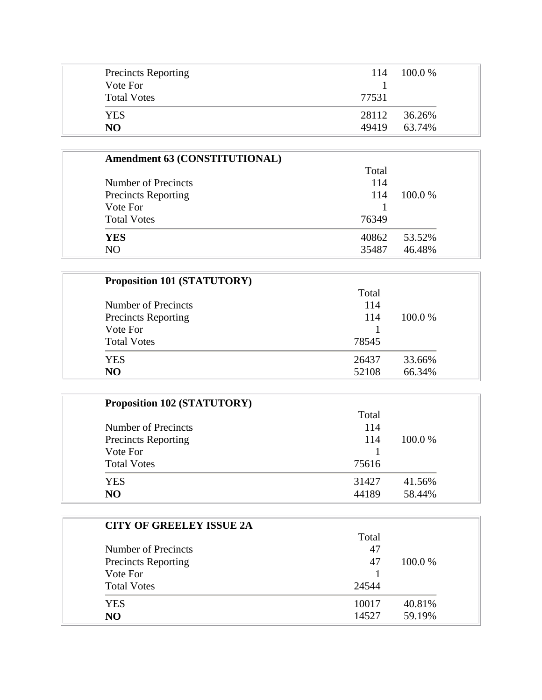| <b>Precincts Reporting</b> | 114   | 100.0 % |
|----------------------------|-------|---------|
| Vote For                   |       |         |
| <b>Total Votes</b>         | 77531 |         |
| <b>YES</b>                 | 28112 | 36.26%  |
| NO                         | 49419 | 63.74%  |

| Amendment 63 (CONSTITUTIONAL) |       |         |
|-------------------------------|-------|---------|
|                               | Total |         |
| Number of Precincts           | 114   |         |
| <b>Precincts Reporting</b>    | 114   | 100.0 % |
| Vote For                      |       |         |
| <b>Total Votes</b>            | 76349 |         |
| <b>YES</b>                    | 40862 | 53.52%  |
| N <sub>O</sub>                | 35487 | 46.48%  |

| <b>Proposition 101 (STATUTORY)</b> |       |         |
|------------------------------------|-------|---------|
|                                    | Total |         |
| Number of Precincts                | 114   |         |
| <b>Precincts Reporting</b>         | 114   | 100.0 % |
| Vote For                           |       |         |
| <b>Total Votes</b>                 | 78545 |         |
| <b>YES</b>                         | 26437 | 33.66%  |
| N <sub>O</sub>                     | 52108 | 66.34%  |

| <b>Proposition 102 (STATUTORY)</b> |       |         |
|------------------------------------|-------|---------|
|                                    | Total |         |
| Number of Precincts                | 114   |         |
| <b>Precincts Reporting</b>         | 114   | 100.0 % |
| Vote For                           |       |         |
| <b>Total Votes</b>                 | 75616 |         |
| <b>YES</b>                         | 31427 | 41.56%  |
| <b>NO</b>                          | 44189 | 58.44%  |

| <b>CITY OF GREELEY ISSUE 2A</b> |       |         |
|---------------------------------|-------|---------|
|                                 | Total |         |
| Number of Precincts             | 47    |         |
| <b>Precincts Reporting</b>      | 47    | 100.0 % |
| Vote For                        |       |         |
| <b>Total Votes</b>              | 24544 |         |
| <b>YES</b>                      | 10017 | 40.81%  |
| N <sub>O</sub>                  | 14527 | 59.19%  |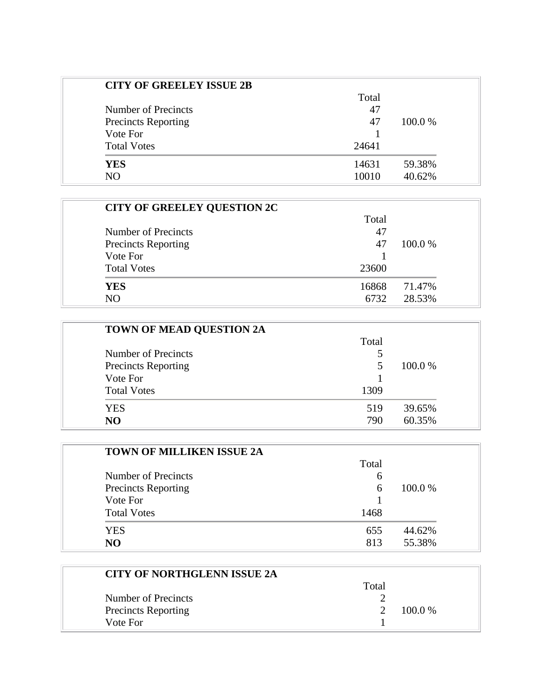| <b>CITY OF GREELEY ISSUE 2B</b> |       |         |
|---------------------------------|-------|---------|
|                                 | Total |         |
| Number of Precincts             | 47    |         |
| <b>Precincts Reporting</b>      | 47    | 100.0 % |
| Vote For                        |       |         |
| <b>Total Votes</b>              | 24641 |         |
| YES                             | 14631 | 59.38%  |
| NO.                             | 10010 | 40.62%  |

| <b>CITY OF GREELEY QUESTION 2C</b> |       |         |
|------------------------------------|-------|---------|
|                                    | Total |         |
| Number of Precincts                | 47    |         |
| <b>Precincts Reporting</b>         | 47    | 100.0 % |
| Vote For                           |       |         |
| <b>Total Votes</b>                 | 23600 |         |
| YES                                | 16868 | 71.47%  |
| NO.                                | 6732  | 28.53%  |

| <b>TOWN OF MEAD QUESTION 2A</b> |       |         |
|---------------------------------|-------|---------|
|                                 | Total |         |
| Number of Precincts             |       |         |
| <b>Precincts Reporting</b>      | 5     | 100.0 % |
| Vote For                        |       |         |
| <b>Total Votes</b>              | 1309  |         |
| <b>YES</b>                      | 519   | 39.65%  |
| NO.                             | 790   | 60.35%  |

| <b>TOWN OF MILLIKEN ISSUE 2A</b> |       |        |
|----------------------------------|-------|--------|
|                                  | Total |        |
| Number of Precincts              | 6     |        |
| <b>Precincts Reporting</b>       | 6     | 100.0% |
| Vote For                         |       |        |
| <b>Total Votes</b>               | 1468  |        |
| YES                              | 655   | 44.62% |
| N <sub>O</sub>                   | 813   | 55.38% |

| <b>CITY OF NORTHGLENN ISSUE 2A</b> |       |         |
|------------------------------------|-------|---------|
|                                    | Total |         |
| Number of Precincts                |       |         |
| <b>Precincts Reporting</b>         |       | 100.0 % |
| Vote For                           |       |         |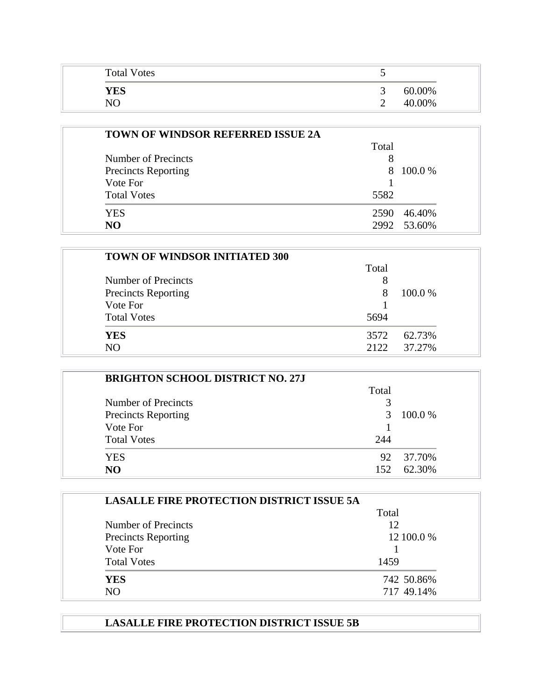| <b>Total Votes</b> |             |
|--------------------|-------------|
| YES                | 60.00%<br>ັ |
| NC                 | 40.00%<br>∽ |

| <b>TOWN OF WINDSOR REFERRED ISSUE 2A</b> |       |             |
|------------------------------------------|-------|-------------|
|                                          | Total |             |
| Number of Precincts                      | 8     |             |
| <b>Precincts Reporting</b>               | 8.    | 100.0%      |
| Vote For                                 |       |             |
| <b>Total Votes</b>                       | 5582  |             |
| YES.                                     | 2590  | 46.40%      |
| NO.                                      |       | 2992 53.60% |

| <b>TOWN OF WINDSOR INITIATED 300</b> |       |         |
|--------------------------------------|-------|---------|
|                                      | Total |         |
| Number of Precincts                  | 8     |         |
| <b>Precincts Reporting</b>           | 8     | 100.0 % |
| Vote For                             |       |         |
| <b>Total Votes</b>                   | 5694  |         |
| <b>YES</b>                           | 3572  | 62.73%  |
| NO.                                  | 2122  | 37.27%  |

| <b>BRIGHTON SCHOOL DISTRICT NO. 27J</b> |       |         |
|-----------------------------------------|-------|---------|
|                                         | Total |         |
| Number of Precincts                     |       |         |
| <b>Precincts Reporting</b>              | 3     | 100.0 % |
| Vote For                                |       |         |
| <b>Total Votes</b>                      | 244   |         |
| <b>YES</b>                              | 92    | 37.70%  |
| N <sub>O</sub>                          | 152   | 62.30%  |

| <b>LASALLE FIRE PROTECTION DISTRICT ISSUE 5A</b> |            |
|--------------------------------------------------|------------|
|                                                  | Total      |
| Number of Precincts                              | 12.        |
| <b>Precincts Reporting</b>                       | 12 100.0 % |
| Vote For                                         |            |
| <b>Total Votes</b>                               | 1459       |
| YES                                              | 742 50.86% |
| NO.                                              | 717 49.14% |

**LASALLE FIRE PROTECTION DISTRICT ISSUE 5B**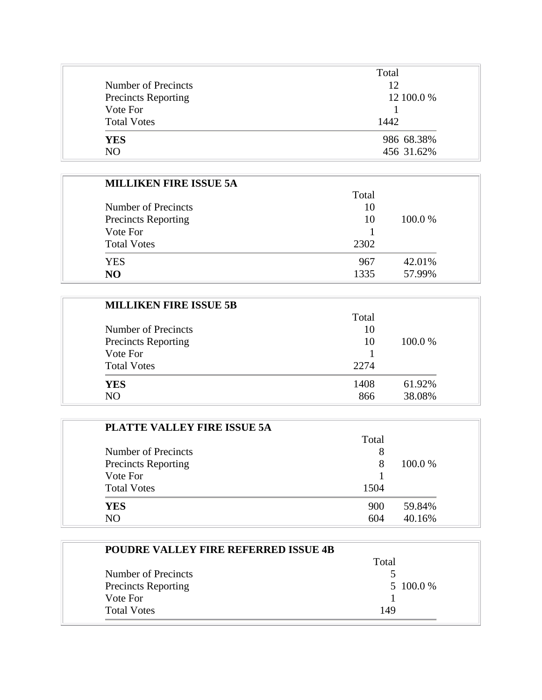|                            | Total      |
|----------------------------|------------|
| Number of Precincts        | 12         |
| <b>Precincts Reporting</b> | 12 100.0 % |
| Vote For                   |            |
| <b>Total Votes</b>         | 1442       |
| <b>YES</b>                 | 986 68.38% |
| NO.                        | 456 31.62% |

|                            | Total |         |
|----------------------------|-------|---------|
|                            |       |         |
| Number of Precincts        | 10    |         |
| <b>Precincts Reporting</b> | 10    | 100.0 % |
| Vote For                   |       |         |
| <b>Total Votes</b>         | 2302  |         |
| YES                        | 967   | 42.01%  |
| N <sub>O</sub>             | 1335  | 57.99%  |

| <b>MILLIKEN FIRE ISSUE 5B</b> |       |         |
|-------------------------------|-------|---------|
|                               | Total |         |
| Number of Precincts           | 10    |         |
| <b>Precincts Reporting</b>    | 10    | 100.0 % |
| Vote For                      |       |         |
| <b>Total Votes</b>            | 2274  |         |
| <b>YES</b>                    | 1408  | 61.92%  |
| NO.                           | 866   | 38.08%  |

| <b>PLATTE VALLEY FIRE ISSUE 5A</b> |       |         |
|------------------------------------|-------|---------|
|                                    | Total |         |
| Number of Precincts                | 8     |         |
| <b>Precincts Reporting</b>         | 8     | 100.0 % |
| Vote For                           |       |         |
| <b>Total Votes</b>                 | 1504  |         |
| <b>YES</b>                         | 900   | 59.84%  |
| N <sub>O</sub>                     | 604   | 40.16%  |

| <b>POUDRE VALLEY FIRE REFERRED ISSUE 4B</b> |           |
|---------------------------------------------|-----------|
|                                             | Total     |
| Number of Precincts                         |           |
| <b>Precincts Reporting</b>                  | 5 100.0 % |
| Vote For                                    |           |
| <b>Total Votes</b>                          | 149       |